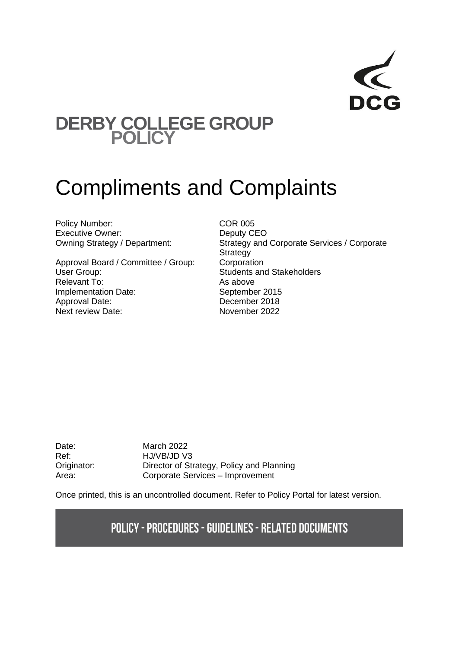## **DERBY COLLEGE GROUP POLICY**

# Compliments and Complaints

Policy Number: COR 005 Executive Owner: Deputy CEO

Approval Board / Committee / Group: Corporation User Group: Students and Stakeholders Relevant To: As above Implementation Date: September 2015 Approval Date: December 2018 Next review Date: November 2022

Owning Strategy / Department: Strategy and Corporate Services / Corporate **Strategy** 

Date: March 2022 Ref: HJ/VB/JD V3 Originator: Director of Strategy, Policy and Planning Area: Corporate Services – Improvement

Once printed, this is an uncontrolled document. Refer to Policy Portal for latest version.

## **POLICY - PROCEDURES - GUIDELINES - RELATED DOCUMENTS**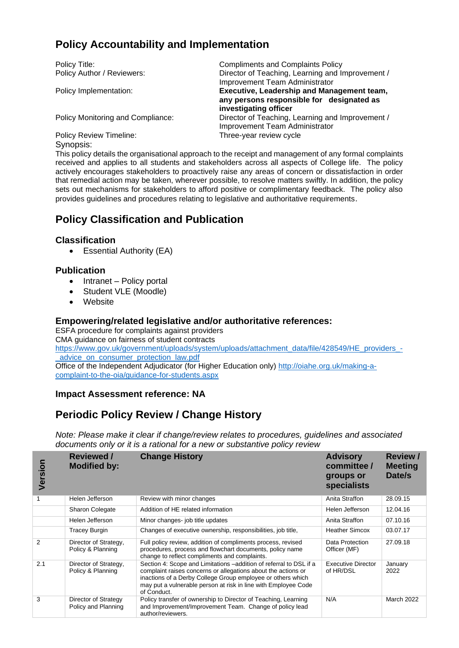## **Policy Accountability and Implementation**

Policy Title: Compliments and Complaints Policy Policy Author / Reviewers: Director of Teaching, Learning and Improvement / Improvement Team Administrator Policy Implementation: **Executive, Leadership and Management team, any persons responsible for designated as investigating officer** Policy Monitoring and Compliance: Director of Teaching, Learning and Improvement / Improvement Team Administrator Policy Review Timeline: Three-year review cycle

Synopsis:

This policy details the organisational approach to the receipt and management of any formal complaints received and applies to all students and stakeholders across all aspects of College life. The policy actively encourages stakeholders to proactively raise any areas of concern or dissatisfaction in order that remedial action may be taken, wherever possible, to resolve matters swiftly. In addition, the policy sets out mechanisms for stakeholders to afford positive or complimentary feedback. The policy also provides guidelines and procedures relating to legislative and authoritative requirements.

## **Policy Classification and Publication**

#### **Classification**

• Essential Authority (EA)

#### **Publication**

- Intranet Policy portal
- Student VLE (Moodle)
- Website

#### **Empowering/related legislative and/or authoritative references:**

ESFA procedure for complaints against providers CMA guidance on fairness of student contracts [https://www.gov.uk/government/uploads/system/uploads/attachment\\_data/file/428549/HE\\_providers\\_-](https://www.gov.uk/government/uploads/system/uploads/attachment_data/file/428549/HE_providers_-_advice_on_consumer_protection_law.pdf) [\\_advice\\_on\\_consumer\\_protection\\_law.pdf](https://www.gov.uk/government/uploads/system/uploads/attachment_data/file/428549/HE_providers_-_advice_on_consumer_protection_law.pdf) Office of the Independent Adjudicator (for Higher Education only) [http://oiahe.org.uk/making-a-](http://oiahe.org.uk/making-a-complaint-to-the-oia/guidance-for-students.aspx)

[complaint-to-the-oia/guidance-for-students.aspx](http://oiahe.org.uk/making-a-complaint-to-the-oia/guidance-for-students.aspx)

#### **Impact Assessment reference: NA**

## **Periodic Policy Review / Change History**

*Note: Please make it clear if change/review relates to procedures, guidelines and associated documents only or it is a rational for a new or substantive policy review*

| Version       | <b>Reviewed</b> /<br><b>Modified by:</b>    | <b>Change History</b>                                                                                                                                                                                                                                                               | <b>Advisory</b><br>committee /<br>groups or<br>specialists | <b>Review /</b><br><b>Meeting</b><br>Date/s |
|---------------|---------------------------------------------|-------------------------------------------------------------------------------------------------------------------------------------------------------------------------------------------------------------------------------------------------------------------------------------|------------------------------------------------------------|---------------------------------------------|
|               | Helen Jefferson                             | Review with minor changes                                                                                                                                                                                                                                                           | Anita Straffon                                             | 28.09.15                                    |
|               | <b>Sharon Colegate</b>                      | Addition of HE related information                                                                                                                                                                                                                                                  | Helen Jefferson                                            | 12.04.16                                    |
|               | Helen Jefferson                             | Minor changes-job title updates                                                                                                                                                                                                                                                     | Anita Straffon                                             | 07.10.16                                    |
|               | <b>Tracey Burgin</b>                        | Changes of executive ownership, responsibilities, job title,                                                                                                                                                                                                                        | <b>Heather Simcox</b>                                      | 03.07.17                                    |
| $\mathcal{P}$ | Director of Strategy,<br>Policy & Planning  | Full policy review, addition of compliments process, revised<br>procedures, process and flowchart documents, policy name<br>change to reflect compliments and complaints.                                                                                                           | Data Protection<br>Officer (MF)                            | 27.09.18                                    |
| 2.1           | Director of Strategy,<br>Policy & Planning  | Section 4: Scope and Limitations –addition of referral to DSL if a<br>complaint raises concerns or allegations about the actions or<br>inactions of a Derby College Group employee or others which<br>may put a vulnerable person at risk in line with Employee Code<br>of Conduct. | <b>Executive Director</b><br>of HR/DSL                     | January<br>2022                             |
| 3             | Director of Strategy<br>Policy and Planning | Policy transfer of ownership to Director of Teaching, Learning<br>and Improvement/Improvement Team. Change of policy lead<br>author/reviewers.                                                                                                                                      | N/A                                                        | March 2022                                  |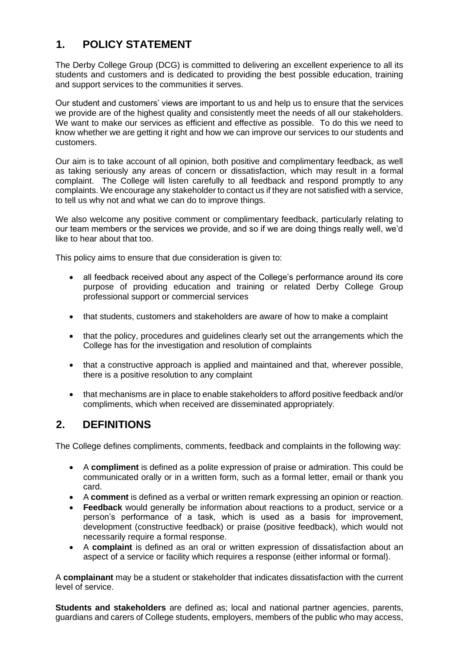## **1. POLICY STATEMENT**

The Derby College Group (DCG) is committed to delivering an excellent experience to all its students and customers and is dedicated to providing the best possible education, training and support services to the communities it serves.

Our student and customers' views are important to us and help us to ensure that the services we provide are of the highest quality and consistently meet the needs of all our stakeholders. We want to make our services as efficient and effective as possible. To do this we need to know whether we are getting it right and how we can improve our services to our students and customers.

Our aim is to take account of all opinion, both positive and complimentary feedback, as well as taking seriously any areas of concern or dissatisfaction, which may result in a formal complaint. The College will listen carefully to all feedback and respond promptly to any complaints. We encourage any stakeholder to contact us if they are not satisfied with a service, to tell us why not and what we can do to improve things.

We also welcome any positive comment or complimentary feedback, particularly relating to our team members or the services we provide, and so if we are doing things really well, we'd like to hear about that too.

This policy aims to ensure that due consideration is given to:

- all feedback received about any aspect of the College's performance around its core purpose of providing education and training or related Derby College Group professional support or commercial services
- that students, customers and stakeholders are aware of how to make a complaint
- that the policy, procedures and quidelines clearly set out the arrangements which the College has for the investigation and resolution of complaints
- that a constructive approach is applied and maintained and that, wherever possible, there is a positive resolution to any complaint
- that mechanisms are in place to enable stakeholders to afford positive feedback and/or compliments, which when received are disseminated appropriately.

## **2. DEFINITIONS**

The College defines compliments, comments, feedback and complaints in the following way:

- A **compliment** is defined as a polite expression of praise or admiration. This could be communicated orally or in a written form, such as a formal letter, email or thank you card.
- A **comment** is defined as a verbal or written remark expressing an opinion or reaction.
- **Feedback** would generally be information about reactions to a product, service or a person's performance of a task, which is used as a basis for improvement, development (constructive feedback) or praise (positive feedback), which would not necessarily require a formal response.
- A **complaint** is defined as an oral or written expression of dissatisfaction about an aspect of a service or facility which requires a response (either informal or formal).

A **complainant** may be a student or stakeholder that indicates dissatisfaction with the current level of service.

**Students and stakeholders** are defined as; local and national partner agencies, parents, guardians and carers of College students, employers, members of the public who may access,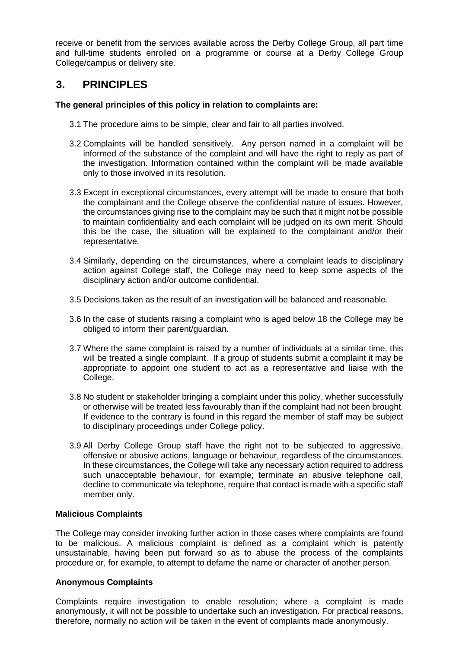receive or benefit from the services available across the Derby College Group, all part time and full-time students enrolled on a programme or course at a Derby College Group College/campus or delivery site.

## **3. PRINCIPLES**

#### **The general principles of this policy in relation to complaints are:**

- 3.1 The procedure aims to be simple, clear and fair to all parties involved.
- 3.2 Complaints will be handled sensitively. Any person named in a complaint will be informed of the substance of the complaint and will have the right to reply as part of the investigation. Information contained within the complaint will be made available only to those involved in its resolution.
- 3.3 Except in exceptional circumstances, every attempt will be made to ensure that both the complainant and the College observe the confidential nature of issues. However, the circumstances giving rise to the complaint may be such that it might not be possible to maintain confidentiality and each complaint will be judged on its own merit. Should this be the case, the situation will be explained to the complainant and/or their representative.
- 3.4 Similarly, depending on the circumstances, where a complaint leads to disciplinary action against College staff, the College may need to keep some aspects of the disciplinary action and/or outcome confidential.
- 3.5 Decisions taken as the result of an investigation will be balanced and reasonable.
- 3.6 In the case of students raising a complaint who is aged below 18 the College may be obliged to inform their parent/guardian.
- 3.7 Where the same complaint is raised by a number of individuals at a similar time, this will be treated a single complaint. If a group of students submit a complaint it may be appropriate to appoint one student to act as a representative and liaise with the College.
- 3.8 No student or stakeholder bringing a complaint under this policy, whether successfully or otherwise will be treated less favourably than if the complaint had not been brought. If evidence to the contrary is found in this regard the member of staff may be subject to disciplinary proceedings under College policy.
- 3.9 All Derby College Group staff have the right not to be subjected to aggressive, offensive or abusive actions, language or behaviour, regardless of the circumstances. In these circumstances, the College will take any necessary action required to address such unacceptable behaviour, for example; terminate an abusive telephone call, decline to communicate via telephone, require that contact is made with a specific staff member only.

#### **Malicious Complaints**

The College may consider invoking further action in those cases where complaints are found to be malicious. A malicious complaint is defined as a complaint which is patently unsustainable, having been put forward so as to abuse the process of the complaints procedure or, for example, to attempt to defame the name or character of another person.

#### **Anonymous Complaints**

Complaints require investigation to enable resolution; where a complaint is made anonymously, it will not be possible to undertake such an investigation. For practical reasons, therefore, normally no action will be taken in the event of complaints made anonymously.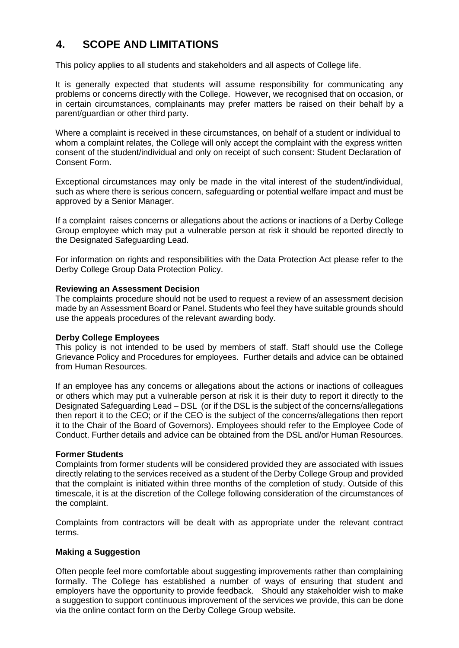## **4. SCOPE AND LIMITATIONS**

This policy applies to all students and stakeholders and all aspects of College life.

It is generally expected that students will assume responsibility for communicating any problems or concerns directly with the College. However, we recognised that on occasion, or in certain circumstances, complainants may prefer matters be raised on their behalf by a parent/guardian or other third party.

Where a complaint is received in these circumstances, on behalf of a student or individual to whom a complaint relates, the College will only accept the complaint with the express written consent of the student/individual and only on receipt of such consent: Student Declaration of Consent Form.

Exceptional circumstances may only be made in the vital interest of the student/individual, such as where there is serious concern, safeguarding or potential welfare impact and must be approved by a Senior Manager.

If a complaint raises concerns or allegations about the actions or inactions of a Derby College Group employee which may put a vulnerable person at risk it should be reported directly to the Designated Safeguarding Lead.

For information on rights and responsibilities with the Data Protection Act please refer to the Derby College Group Data Protection Policy.

#### **Reviewing an Assessment Decision**

The complaints procedure should not be used to request a review of an assessment decision made by an Assessment Board or Panel. Students who feel they have suitable grounds should use the appeals procedures of the relevant awarding body.

#### **Derby College Employees**

This policy is not intended to be used by members of staff. Staff should use the College Grievance Policy and Procedures for employees. Further details and advice can be obtained from Human Resources.

If an employee has any concerns or allegations about the actions or inactions of colleagues or others which may put a vulnerable person at risk it is their duty to report it directly to the Designated Safeguarding Lead – DSL (or if the DSL is the subject of the concerns/allegations then report it to the CEO; or if the CEO is the subject of the concerns/allegations then report it to the Chair of the Board of Governors). Employees should refer to the Employee Code of Conduct. Further details and advice can be obtained from the DSL and/or Human Resources.

#### **Former Students**

Complaints from former students will be considered provided they are associated with issues directly relating to the services received as a student of the Derby College Group and provided that the complaint is initiated within three months of the completion of study. Outside of this timescale, it is at the discretion of the College following consideration of the circumstances of the complaint.

Complaints from contractors will be dealt with as appropriate under the relevant contract terms.

#### **Making a Suggestion**

Often people feel more comfortable about suggesting improvements rather than complaining formally. The College has established a number of ways of ensuring that student and employers have the opportunity to provide feedback. Should any stakeholder wish to make a suggestion to support continuous improvement of the services we provide, this can be done via the online contact form on the Derby College Group website.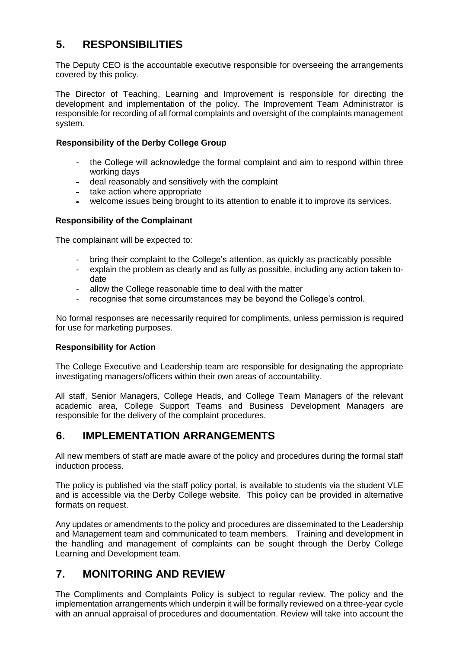## **5. RESPONSIBILITIES**

The Deputy CEO is the accountable executive responsible for overseeing the arrangements covered by this policy.

The Director of Teaching, Learning and Improvement is responsible for directing the development and implementation of the policy. The Improvement Team Administrator is responsible for recording of all formal complaints and oversight of the complaints management system*.*

#### **Responsibility of the Derby College Group**

- the College will acknowledge the formal complaint and aim to respond within three working days
- deal reasonably and sensitively with the complaint
- take action where appropriate
- welcome issues being brought to its attention to enable it to improve its services.

#### **Responsibility of the Complainant**

The complainant will be expected to:

- bring their complaint to the College's attention, as quickly as practicably possible
- explain the problem as clearly and as fully as possible, including any action taken todate
- allow the College reasonable time to deal with the matter
- recognise that some circumstances may be beyond the College's control.

No formal responses are necessarily required for compliments, unless permission is required for use for marketing purposes.

#### **Responsibility for Action**

The College Executive and Leadership team are responsible for designating the appropriate investigating managers/officers within their own areas of accountability.

All staff, Senior Managers, College Heads, and College Team Managers of the relevant academic area, College Support Teams and Business Development Managers are responsible for the delivery of the complaint procedures.

## **6. IMPLEMENTATION ARRANGEMENTS**

All new members of staff are made aware of the policy and procedures during the formal staff induction process.

The policy is published via the staff policy portal, is available to students via the student VLE and is accessible via the Derby College website. This policy can be provided in alternative formats on request.

Any updates or amendments to the policy and procedures are disseminated to the Leadership and Management team and communicated to team members. Training and development in the handling and management of complaints can be sought through the Derby College Learning and Development team.

## **7. MONITORING AND REVIEW**

The Compliments and Complaints Policy is subject to regular review. The policy and the implementation arrangements which underpin it will be formally reviewed on a three-year cycle with an annual appraisal of procedures and documentation. Review will take into account the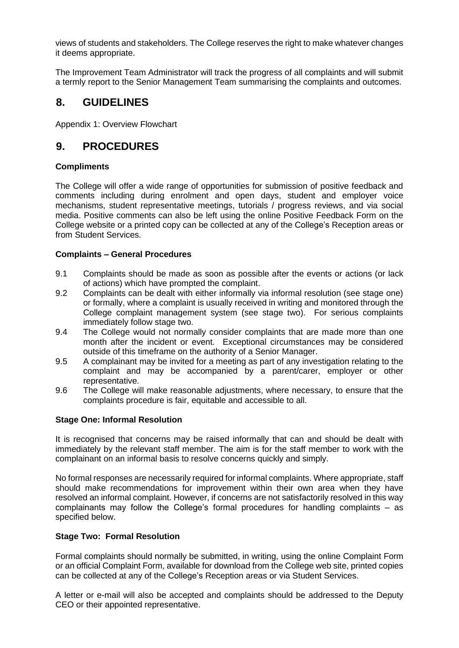views of students and stakeholders. The College reserves the right to make whatever changes it deems appropriate.

The Improvement Team Administrator will track the progress of all complaints and will submit a termly report to the Senior Management Team summarising the complaints and outcomes.

### **8. GUIDELINES**

Appendix 1: Overview Flowchart

#### **9. PROCEDURES**

#### **Compliments**

The College will offer a wide range of opportunities for submission of positive feedback and comments including during enrolment and open days, student and employer voice mechanisms, student representative meetings, tutorials / progress reviews, and via social media. Positive comments can also be left using the online Positive Feedback Form on the College website or a printed copy can be collected at any of the College's Reception areas or from Student Services.

#### **Complaints – General Procedures**

- 9.1 Complaints should be made as soon as possible after the events or actions (or lack of actions) which have prompted the complaint.
- 9.2 Complaints can be dealt with either informally via informal resolution (see stage one) or formally, where a complaint is usually received in writing and monitored through the College complaint management system (see stage two). For serious complaints immediately follow stage two.
- 9.4 The College would not normally consider complaints that are made more than one month after the incident or event. Exceptional circumstances may be considered outside of this timeframe on the authority of a Senior Manager.
- 9.5 A complainant may be invited for a meeting as part of any investigation relating to the complaint and may be accompanied by a parent/carer, employer or other representative.
- 9.6 The College will make reasonable adjustments, where necessary, to ensure that the complaints procedure is fair, equitable and accessible to all.

#### **Stage One: Informal Resolution**

It is recognised that concerns may be raised informally that can and should be dealt with immediately by the relevant staff member. The aim is for the staff member to work with the complainant on an informal basis to resolve concerns quickly and simply.

No formal responses are necessarily required for informal complaints. Where appropriate, staff should make recommendations for improvement within their own area when they have resolved an informal complaint. However, if concerns are not satisfactorily resolved in this way complainants may follow the College's formal procedures for handling complaints – as specified below.

#### **Stage Two: Formal Resolution**

Formal complaints should normally be submitted, in writing, using the online Complaint Form or an official Complaint Form, available for download from the College web site, printed copies can be collected at any of the College's Reception areas or via Student Services.

A letter or e-mail will also be accepted and complaints should be addressed to the Deputy CEO or their appointed representative.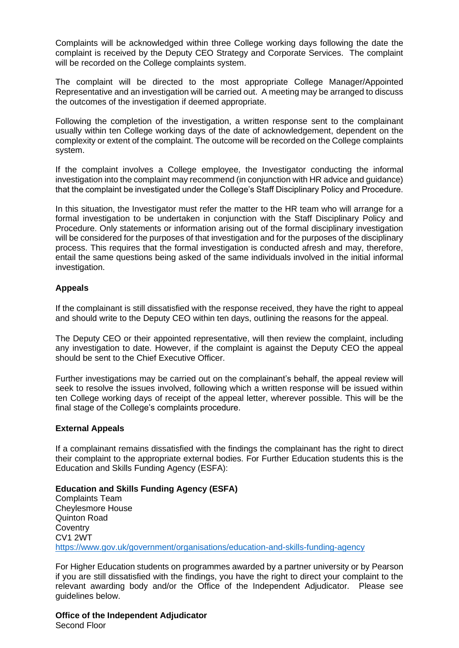Complaints will be acknowledged within three College working days following the date the complaint is received by the Deputy CEO Strategy and Corporate Services. The complaint will be recorded on the College complaints system.

The complaint will be directed to the most appropriate College Manager/Appointed Representative and an investigation will be carried out. A meeting may be arranged to discuss the outcomes of the investigation if deemed appropriate.

Following the completion of the investigation, a written response sent to the complainant usually within ten College working days of the date of acknowledgement, dependent on the complexity or extent of the complaint. The outcome will be recorded on the College complaints system.

If the complaint involves a College employee, the Investigator conducting the informal investigation into the complaint may recommend (in conjunction with HR advice and guidance) that the complaint be investigated under the College's Staff Disciplinary Policy and Procedure.

In this situation, the Investigator must refer the matter to the HR team who will arrange for a formal investigation to be undertaken in conjunction with the Staff Disciplinary Policy and Procedure. Only statements or information arising out of the formal disciplinary investigation will be considered for the purposes of that investigation and for the purposes of the disciplinary process. This requires that the formal investigation is conducted afresh and may, therefore, entail the same questions being asked of the same individuals involved in the initial informal investigation.

#### **Appeals**

If the complainant is still dissatisfied with the response received, they have the right to appeal and should write to the Deputy CEO within ten days, outlining the reasons for the appeal.

The Deputy CEO or their appointed representative, will then review the complaint, including any investigation to date. However, if the complaint is against the Deputy CEO the appeal should be sent to the Chief Executive Officer.

Further investigations may be carried out on the complainant's behalf, the appeal review will seek to resolve the issues involved, following which a written response will be issued within ten College working days of receipt of the appeal letter, wherever possible. This will be the final stage of the College's complaints procedure.

#### **External Appeals**

If a complainant remains dissatisfied with the findings the complainant has the right to direct their complaint to the appropriate external bodies. For Further Education students this is the Education and Skills Funding Agency (ESFA):

**Education and Skills Funding Agency (ESFA)**  Complaints Team Cheylesmore House Quinton Road **Coventry** CV1 2WT <https://www.gov.uk/government/organisations/education-and-skills-funding-agency>

For Higher Education students on programmes awarded by a partner university or by Pearson if you are still dissatisfied with the findings, you have the right to direct your complaint to the relevant awarding body and/or the Office of the Independent Adjudicator. Please see guidelines below.

**Office of the Independent Adjudicator** Second Floor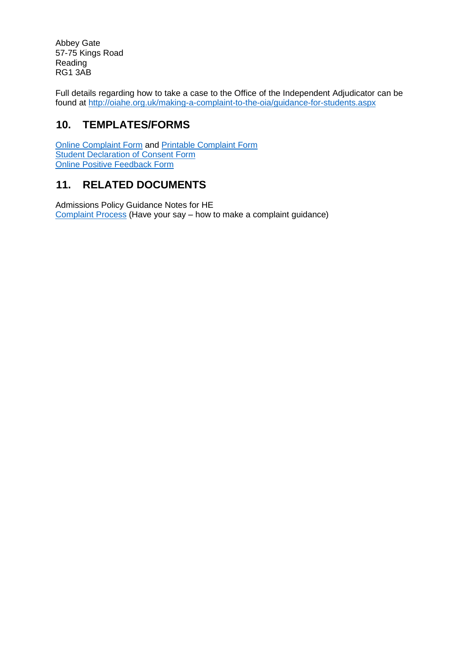Abbey Gate 57-75 Kings Road Reading RG1 3AB

Full details regarding how to take a case to the Office of the Independent Adjudicator can be found at<http://oiahe.org.uk/making-a-complaint-to-the-oia/guidance-for-students.aspx>

## **10. TEMPLATES/FORMS**

[Online Complaint Form](https://www.derby-college.ac.uk/complaints-have-your-say) and [Printable Complaint Form](https://www.derby-college.ac.uk/documents/complaints/Complaints-Form-printable.pdf) [Student Declaration of Consent Form](https://www.derby-college.ac.uk/documents/complaints/Complaints-Student-Declaration-of-Consent-Form.pdf) [Online Positive Feedback Form](https://www.derby-college.ac.uk/positive-feedback)

## **11. RELATED DOCUMENTS**

[Admissions Policy Guidance Notes for HE](http://staffportal1.derby-college.ac.uk/StrategicDocuments/Strategic%20Linked%20Documents/Admissions%20Policy%20Guidance%20Notes%20for%20HE%20and%20International%20Learners.pdf)  [Complaint Process](https://www.derby-college.ac.uk/documents/complaints/Complaints-Process.pdf) (Have your say – how to make a complaint guidance)